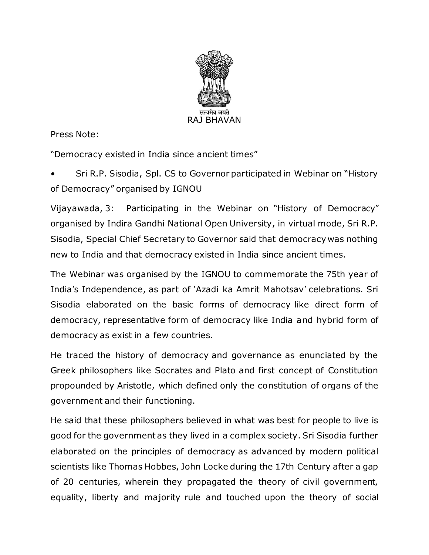

Press Note:

"Democracy existed in India since ancient times"

• Sri R.P. Sisodia, Spl. CS to Governor participated in Webinar on "History of Democracy" organised by IGNOU

Vijayawada, 3: Participating in the Webinar on "History of Democracy" organised by Indira Gandhi National Open University, in virtual mode, Sri R.P. Sisodia, Special Chief Secretary to Governor said that democracy was nothing new to India and that democracy existed in India since ancient times.

The Webinar was organised by the IGNOU to commemorate the 75th year of India's Independence, as part of 'Azadi ka Amrit Mahotsav' celebrations. Sri Sisodia elaborated on the basic forms of democracy like direct form of democracy, representative form of democracy like India and hybrid form of democracy as exist in a few countries.

He traced the history of democracy and governance as enunciated by the Greek philosophers like Socrates and Plato and first concept of Constitution propounded by Aristotle, which defined only the constitution of organs of the government and their functioning.

He said that these philosophers believed in what was best for people to live is good for the government as they lived in a complex society. Sri Sisodia further elaborated on the principles of democracy as advanced by modern political scientists like Thomas Hobbes, John Locke during the 17th Century after a gap of 20 centuries, wherein they propagated the theory of civil government, equality, liberty and majority rule and touched upon the theory of social